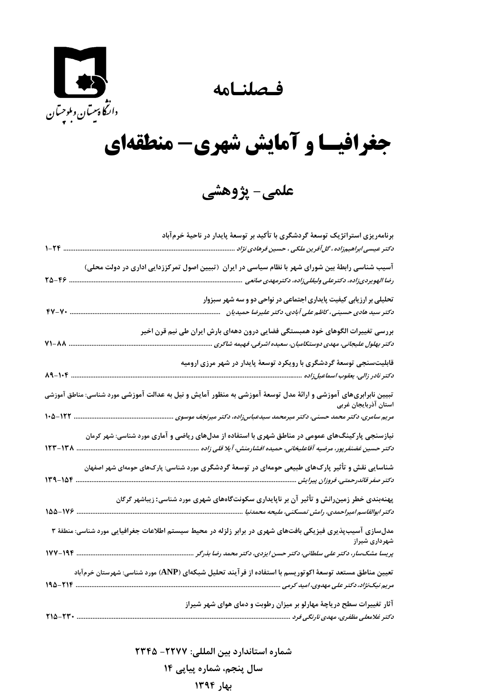**فـصلنـامه** 

 $\sum_{i=1}^n$ دانتھا پیسان وبلوچسان<br>دانتھا پیسان وبلوچسان

## **جغرافيـا و آمايش شهري- منطقهاي**

**علمي- پژوهشي** 

|                       | برنامهریزی استراتژیک توسعهٔ گردشگری با تأکید بر توسعهٔ پایدار در ناحیهٔ خرمآباد                                                                |
|-----------------------|------------------------------------------------------------------------------------------------------------------------------------------------|
|                       | د کتر عیسی ابراهیمزاده ، گل آفرین ملکی ، حسین فرهادی نژاد                                                                                      |
|                       | آسیب شناسی رابطهٔ بین شورای شهر با نظام سیاسی در ایران (تبیین اصول تمرکززدایی اداری در دولت محلی)                                              |
| $70 - 69$             | رضا الهويردىزاده، دكترعلى وليقلىزاده، دكترمهدى صانعى                                                                                           |
|                       | تحلیلی بر ارزیابی کیفیت پایداری اجتماعی در نواحی دو و سه شهر سبزوار                                                                            |
| $fV-V$                | دکتر سید هادی حسینی، کاظم علی آبادی، دکتر علیرضا حمیدیان                                                                                       |
|                       | بررسی تغییرات الگوهای خود همبستگی فضایی درون دههای بارش ایران طی نیم قرن اخیر                                                                  |
| $V1 - \Lambda\Lambda$ | دكتر بهلول عليجاني، مهدي دوستكاميان، سعيده اشرفي، فهيمه شاكري                                                                                  |
|                       | قابلیتسنجی توسعهٔ گردشگری با رویکرد توسعهٔ پایدار در شهر مرزی ارومیه                                                                           |
| $A9 - 1.6$            |                                                                                                                                                |
|                       | .<br>تبیین نابرابریهای آموزشی و ارائهٔ مدل توسعهٔ آموزشی به منظور آمایش و نیل به عدالت آموزشی مورد شناسی: مناطق آموزشی<br>استان آذربایجان غربی |
|                       | مریم سامری، دکتر محمد حسنی، دکتر میرمحمد سیدعباس;اده، دکتر میرنجف موسوی                                                                        |
|                       | نیازسنجی پارکینگ&ای عمومی در مناطق شهری با استفاده از مدلهای ریاضی و آماری مورد شناسی: شهر کرمان                                               |
|                       |                                                                                                                                                |
|                       | شناسایی نقش و تأثیر پارک&ای طبیعی حومهای در توسعهٔ گردشگری مورد شناسی: پارکهای حومهای شهر اصفهان                                               |
| $14 - 186$ .          | د کتر صفر قائدرحمتی، فروزان پیرایش                                                                                                             |
|                       | پهنهبندی خطر زمینرانش و تأثیر آن بر ناپایداری سکونتگاههای شهری مورد شناسی: زیباشهر گرگان                                                       |
| 100-178               | دکتر ابوالقاسم امیراحمدی، رامش تمسکنی، ملیحه محمدنیا                                                                                           |
|                       | مدلسازی آسیبپذیری فیزیکی بافتهای شهری در برابر زلزله در محیط سیستم اطلاعات جغرافیایی مورد شناسی: منطقهٔ ۳<br>شهرداری شیراز                     |
|                       |                                                                                                                                                |
|                       | تعیین مناطق مستعد توسعهٔ اکوتوریسم با استفاده از فر آیند تحلیل شبکهای (ANP) مورد شناسی: شهرستان خرمآباد                                        |
| ۱۹۵-۲۱۴               | مریم نیکنژاد، دکتر علی مهدوی، امید کرمی                                                                                                        |
|                       | آثار تغییرات سطح دریاچهٔ مهارلو بر میزان رطوبت و دمای هوای شهر شیراز                                                                           |
| TIQ-TT.               | د کتر غلامعلی مظفری، مهدی نارنگی فرد                                                                                                           |

**شماره استاندارد بين المللي: -2277 2345**

**سال پنجم، شماره پياپي 14**